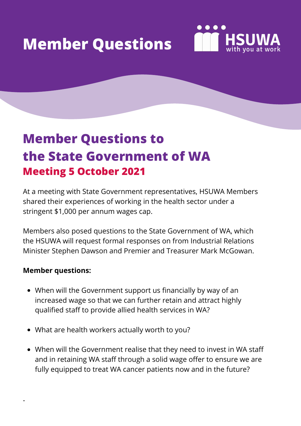# **Member Questions**



## **Member Questions to the State Government of WA Meeting 5 October 2021**

At a meeting with State Government representatives, HSUWA Members shared their experiences of working in the health sector under a stringent \$1,000 per annum wages cap.

Members also posed questions to the State Government of WA, which the HSUWA will request formal responses on from Industrial Relations Minister Stephen Dawson and Premier and Treasurer Mark McGowan.

#### **Member questions:**

·

- When will the Government support us financially by way of an increased wage so that we can further retain and attract highly qualified staff to provide allied health services in WA?
- What are health workers actually worth to you?
- When will the Government realise that they need to invest in WA staff and in retaining WA staff through a solid wage offer to ensure we are fully equipped to treat WA cancer patients now and in the future?